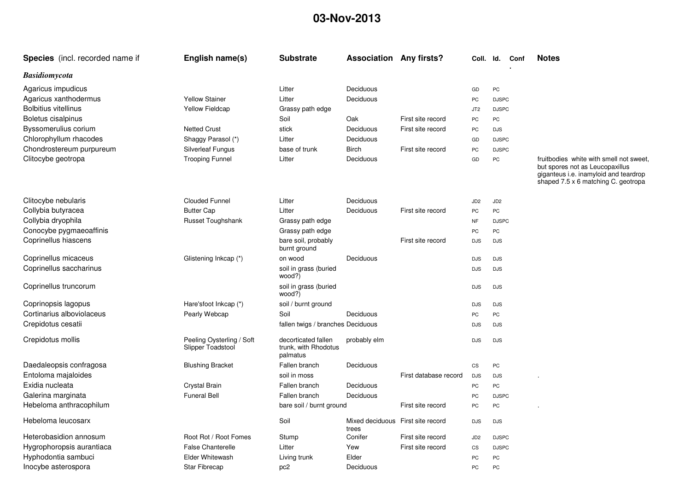## **03-Nov-2013**

| <b>Species</b> (incl. recorded name if | English name(s)                                | <b>Substrate</b>                                        | <b>Association Any firsts?</b>             |                       | Coll. Id.              |                 | Conf | <b>Notes</b>                                                                                                                                               |
|----------------------------------------|------------------------------------------------|---------------------------------------------------------|--------------------------------------------|-----------------------|------------------------|-----------------|------|------------------------------------------------------------------------------------------------------------------------------------------------------------|
| <b>Basidiomycota</b>                   |                                                |                                                         |                                            |                       |                        |                 |      |                                                                                                                                                            |
| Agaricus impudicus                     |                                                | Litter                                                  | Deciduous                                  |                       | GD                     | PC              |      |                                                                                                                                                            |
| Agaricus xanthodermus                  | <b>Yellow Stainer</b>                          | Litter                                                  | Deciduous                                  |                       | PC                     | <b>DJSPC</b>    |      |                                                                                                                                                            |
| <b>Bolbitius vitellinus</b>            | Yellow Fieldcap                                | Grassy path edge                                        |                                            |                       | JT <sub>2</sub>        | <b>DJSPC</b>    |      |                                                                                                                                                            |
| Boletus cisalpinus                     |                                                | Soil                                                    | Oak                                        | First site record     | PC                     | PC              |      |                                                                                                                                                            |
| Byssomerulius corium                   | <b>Netted Crust</b>                            | stick                                                   | Deciduous                                  | First site record     | PC                     | <b>DJS</b>      |      |                                                                                                                                                            |
| Chlorophyllum rhacodes                 | Shaggy Parasol (*)                             | Litter                                                  | Deciduous                                  |                       | GD                     | <b>DJSPC</b>    |      |                                                                                                                                                            |
| Chondrostereum purpureum               | <b>Silverleaf Fungus</b>                       | base of trunk                                           | <b>Birch</b>                               | First site record     | PC                     | <b>DJSPC</b>    |      |                                                                                                                                                            |
| Clitocybe geotropa                     | <b>Trooping Funnel</b>                         | Litter                                                  | Deciduous                                  |                       | GD                     | PC              |      | fruitbodies white with smell not sweet,<br>but spores not as Leucopaxillus<br>giganteus i.e. inamyloid and teardrop<br>shaped 7.5 x 6 matching C. geotropa |
| Clitocybe nebularis                    | <b>Clouded Funnel</b>                          | Litter                                                  | Deciduous                                  |                       | JD <sub>2</sub>        | JD <sub>2</sub> |      |                                                                                                                                                            |
| Collybia butyracea                     | <b>Butter Cap</b>                              | Litter                                                  | Deciduous                                  | First site record     | PC                     | PC              |      |                                                                                                                                                            |
| Collybia dryophila                     | Russet Toughshank                              | Grassy path edge                                        |                                            |                       | <b>NF</b>              | <b>DJSPC</b>    |      |                                                                                                                                                            |
| Conocybe pygmaeoaffinis                |                                                | Grassy path edge                                        |                                            |                       | PC                     | PC              |      |                                                                                                                                                            |
| Coprinellus hiascens                   |                                                | bare soil, probably<br>burnt ground                     |                                            | First site record     | <b>DJS</b>             | <b>DJS</b>      |      |                                                                                                                                                            |
| Coprinellus micaceus                   | Glistening Inkcap (*)                          | on wood                                                 | Deciduous                                  |                       | <b>DJS</b>             | <b>DJS</b>      |      |                                                                                                                                                            |
| Coprinellus saccharinus                |                                                | soil in grass (buried<br>wood?)                         |                                            |                       | <b>DJS</b>             | <b>DJS</b>      |      |                                                                                                                                                            |
| Coprinellus truncorum                  |                                                | soil in grass (buried<br>wood?)                         |                                            |                       | <b>DJS</b>             | <b>DJS</b>      |      |                                                                                                                                                            |
| Coprinopsis lagopus                    | Hare'sfoot Inkcap (*)                          | soil / burnt ground                                     |                                            |                       | <b>DJS</b>             | <b>DJS</b>      |      |                                                                                                                                                            |
| Cortinarius alboviolaceus              | Pearly Webcap                                  | Soil                                                    | Deciduous                                  |                       | PC                     | PC              |      |                                                                                                                                                            |
| Crepidotus cesatii                     |                                                | fallen twigs / branches Deciduous                       |                                            |                       | <b>DJS</b>             | <b>DJS</b>      |      |                                                                                                                                                            |
| Crepidotus mollis                      | Peeling Oysterling / Soft<br>Slipper Toadstool | decorticated fallen<br>trunk, with Rhodotus<br>palmatus | probably elm                               |                       | <b>DJS</b>             | <b>DJS</b>      |      |                                                                                                                                                            |
| Daedaleopsis confragosa                | <b>Blushing Bracket</b>                        | Fallen branch                                           | Deciduous                                  |                       | $\mathbb{C}\mathbb{S}$ | $PC$            |      |                                                                                                                                                            |
| Entoloma majaloides                    |                                                | soil in moss                                            |                                            | First database record | <b>DJS</b>             | <b>DJS</b>      |      |                                                                                                                                                            |
| Exidia nucleata                        | <b>Crystal Brain</b>                           | Fallen branch                                           | Deciduous                                  |                       | PC                     | PC              |      |                                                                                                                                                            |
| Galerina marginata                     | <b>Funeral Bell</b>                            | Fallen branch                                           | Deciduous                                  |                       | PC                     | <b>DJSPC</b>    |      |                                                                                                                                                            |
| Hebeloma anthracophilum                |                                                | bare soil / burnt ground                                |                                            | First site record     | PC                     | PC              |      |                                                                                                                                                            |
| Hebeloma leucosarx                     |                                                | Soil                                                    | Mixed deciduous First site record<br>trees |                       | <b>DJS</b>             | <b>DJS</b>      |      |                                                                                                                                                            |
| Heterobasidion annosum                 | Root Rot / Root Fomes                          | Stump                                                   | Conifer                                    | First site record     | JD <sub>2</sub>        | <b>DJSPC</b>    |      |                                                                                                                                                            |
| Hygrophoropsis aurantiaca              | <b>False Chanterelle</b>                       | Litter                                                  | Yew                                        | First site record     | CS                     | <b>DJSPC</b>    |      |                                                                                                                                                            |
| Hyphodontia sambuci                    | Elder Whitewash                                | Living trunk                                            | Elder                                      |                       | PC                     | PC              |      |                                                                                                                                                            |
| Inocybe asterospora                    | <b>Star Fibrecap</b>                           | pc <sub>2</sub>                                         | Deciduous                                  |                       | PC                     | PC              |      |                                                                                                                                                            |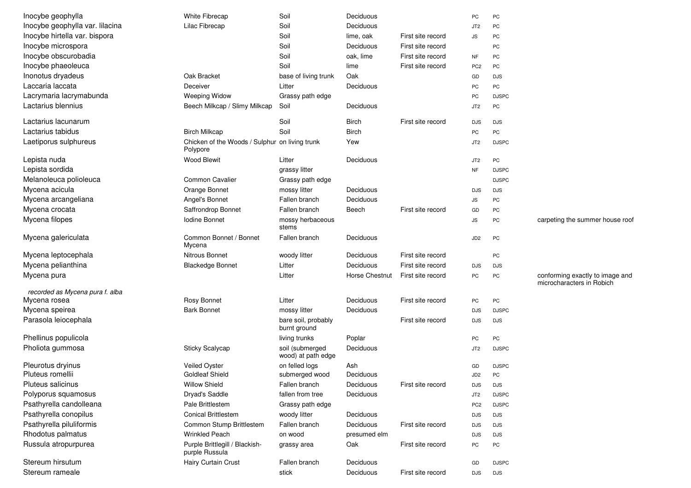| Inocybe geophylla               | White Fibrecap                                             | Soil                                  | Deciduous      |                   | PC              | PC           |                                                              |
|---------------------------------|------------------------------------------------------------|---------------------------------------|----------------|-------------------|-----------------|--------------|--------------------------------------------------------------|
| Inocybe geophylla var. lilacina | Lilac Fibrecap                                             | Soil                                  | Deciduous      |                   | JT <sub>2</sub> | PC           |                                                              |
| Inocybe hirtella var. bispora   |                                                            | Soil                                  | lime, oak      | First site record | <b>JS</b>       | PC           |                                                              |
| Inocybe microspora              |                                                            | Soil                                  | Deciduous      | First site record |                 | PC           |                                                              |
| Inocybe obscurobadia            |                                                            | Soil                                  | oak, lime      | First site record | <b>NF</b>       | PC           |                                                              |
| Inocybe phaeoleuca              |                                                            | Soil                                  | lime           | First site record | PC <sub>2</sub> | PC           |                                                              |
| Inonotus dryadeus               | Oak Bracket                                                | base of living trunk                  | Oak            |                   | GD              | <b>DJS</b>   |                                                              |
| Laccaria laccata                | Deceiver                                                   | Litter                                | Deciduous      |                   | PC              | PC           |                                                              |
| Lacrymaria lacrymabunda         | <b>Weeping Widow</b>                                       | Grassy path edge                      |                |                   | PC              | <b>DJSPC</b> |                                                              |
| Lactarius blennius              | Beech Milkcap / Slimy Milkcap                              | Soil                                  | Deciduous      |                   | JT <sub>2</sub> | PC           |                                                              |
| Lactarius lacunarum             |                                                            | Soil                                  | <b>Birch</b>   | First site record | <b>DJS</b>      | <b>DJS</b>   |                                                              |
| Lactarius tabidus               | <b>Birch Milkcap</b>                                       | Soil                                  | <b>Birch</b>   |                   | PC              | PC           |                                                              |
| Laetiporus sulphureus           | Chicken of the Woods / Sulphur on living trunk<br>Polypore |                                       | Yew            |                   | JT <sub>2</sub> | <b>DJSPC</b> |                                                              |
| Lepista nuda                    | <b>Wood Blewit</b>                                         | Litter                                | Deciduous      |                   | JT <sub>2</sub> | PC           |                                                              |
| Lepista sordida                 |                                                            | grassy litter                         |                |                   | <b>NF</b>       | <b>DJSPC</b> |                                                              |
| Melanoleuca polioleuca          | Common Cavalier                                            | Grassy path edge                      |                |                   |                 | <b>DJSPC</b> |                                                              |
| Mycena acicula                  | Orange Bonnet                                              | mossy litter                          | Deciduous      |                   | <b>DJS</b>      | <b>DJS</b>   |                                                              |
| Mycena arcangeliana             | Angel's Bonnet                                             | Fallen branch                         | Deciduous      |                   | JS              | PC           |                                                              |
| Mycena crocata                  | Saffrondrop Bonnet                                         | Fallen branch                         | Beech          | First site record | GD              | PC           |                                                              |
| Mycena filopes                  | <b>Iodine Bonnet</b>                                       | mossy herbaceous<br>stems             |                |                   | <b>JS</b>       | PC           | carpeting the summer house roof                              |
| Mycena galericulata             | Common Bonnet / Bonnet<br>Mycena                           | Fallen branch                         | Deciduous      |                   | JD <sub>2</sub> | PC           |                                                              |
| Mycena leptocephala             | <b>Nitrous Bonnet</b>                                      | woody litter                          | Deciduous      | First site record |                 | PC           |                                                              |
| Mycena pelianthina              | <b>Blackedge Bonnet</b>                                    | Litter                                | Deciduous      | First site record | <b>DJS</b>      | <b>DJS</b>   |                                                              |
| Mycena pura                     |                                                            | Litter                                | Horse Chestnut | First site record | PC              | PC           | conforming exactly to image and<br>microcharacters in Robich |
| recorded as Mycena pura f. alba |                                                            |                                       |                |                   |                 |              |                                                              |
| Mycena rosea                    | Rosy Bonnet                                                | Litter                                | Deciduous      | First site record | PC              | PC           |                                                              |
| Mycena speirea                  | <b>Bark Bonnet</b>                                         | mossy litter                          | Deciduous      |                   | <b>DJS</b>      | <b>DJSPC</b> |                                                              |
| Parasola leiocephala            |                                                            | bare soil, probably<br>burnt ground   |                | First site record | <b>DJS</b>      | <b>DJS</b>   |                                                              |
| Phellinus populicola            |                                                            | living trunks                         | Poplar         |                   | PC              | PC           |                                                              |
| Pholiota gummosa                | Sticky Scalycap                                            | soil (submerged<br>wood) at path edge | Deciduous      |                   | JT2             | <b>DJSPC</b> |                                                              |
| Pleurotus dryinus               | Veiled Oyster                                              | on felled logs                        | Ash            |                   | GD              | <b>DJSPC</b> |                                                              |
| Pluteus romellii                | <b>Goldleaf Shield</b>                                     | submerged wood                        | Deciduous      |                   | JD2             | PC           |                                                              |
| Pluteus salicinus               | <b>Willow Shield</b>                                       | Fallen branch                         | Deciduous      | First site record | <b>DJS</b>      | <b>DJS</b>   |                                                              |
| Polyporus squamosus             | Dryad's Saddle                                             | fallen from tree                      | Deciduous      |                   | JT <sub>2</sub> | <b>DJSPC</b> |                                                              |
| Psathyrella candolleana         | Pale Brittlestem                                           | Grassy path edge                      |                |                   | PC <sub>2</sub> | <b>DJSPC</b> |                                                              |
| Psathyrella conopilus           | <b>Conical Brittlestem</b>                                 | woody litter                          | Deciduous      |                   | <b>DJS</b>      | <b>DJS</b>   |                                                              |
| Psathyrella piluliformis        | Common Stump Brittlestem                                   | Fallen branch                         | Deciduous      | First site record | <b>DJS</b>      | <b>DJS</b>   |                                                              |
| Rhodotus palmatus               | <b>Wrinkled Peach</b>                                      | on wood                               | presumed elm   |                   | <b>DJS</b>      | <b>DJS</b>   |                                                              |
| Russula atropurpurea            | Purple Brittlegill / Blackish-<br>purple Russula           | grassy area                           | Oak            | First site record | PC              | PC           |                                                              |
| Stereum hirsutum                | Hairy Curtain Crust                                        | Fallen branch                         | Deciduous      |                   | GD              | <b>DJSPC</b> |                                                              |
| Stereum rameale                 |                                                            | stick                                 | Deciduous      | First site record | <b>DJS</b>      | <b>DJS</b>   |                                                              |